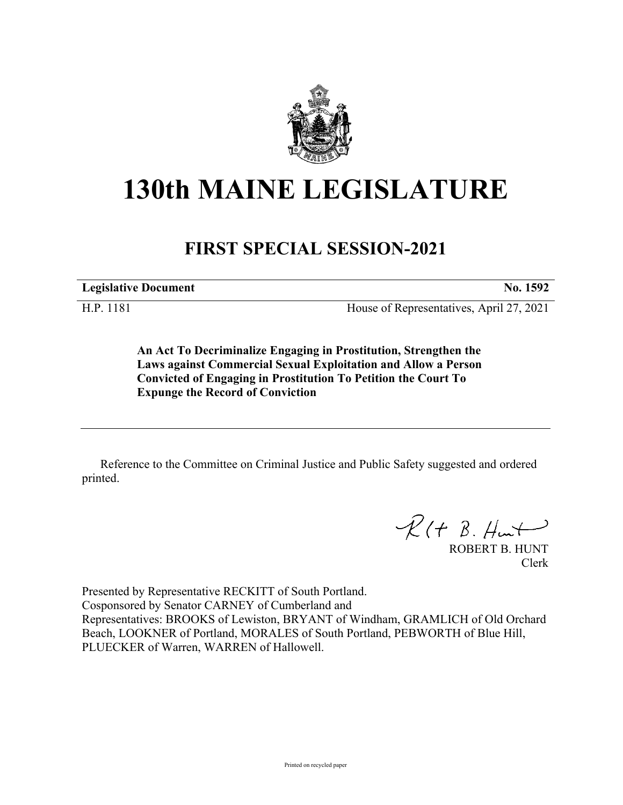

# **130th MAINE LEGISLATURE**

# **FIRST SPECIAL SESSION-2021**

**Legislative Document No. 1592**

H.P. 1181 House of Representatives, April 27, 2021

**An Act To Decriminalize Engaging in Prostitution, Strengthen the Laws against Commercial Sexual Exploitation and Allow a Person Convicted of Engaging in Prostitution To Petition the Court To Expunge the Record of Conviction**

Reference to the Committee on Criminal Justice and Public Safety suggested and ordered printed.

 $R$ (†  $B.$  Hunt

ROBERT B. HUNT Clerk

Presented by Representative RECKITT of South Portland. Cosponsored by Senator CARNEY of Cumberland and Representatives: BROOKS of Lewiston, BRYANT of Windham, GRAMLICH of Old Orchard Beach, LOOKNER of Portland, MORALES of South Portland, PEBWORTH of Blue Hill, PLUECKER of Warren, WARREN of Hallowell.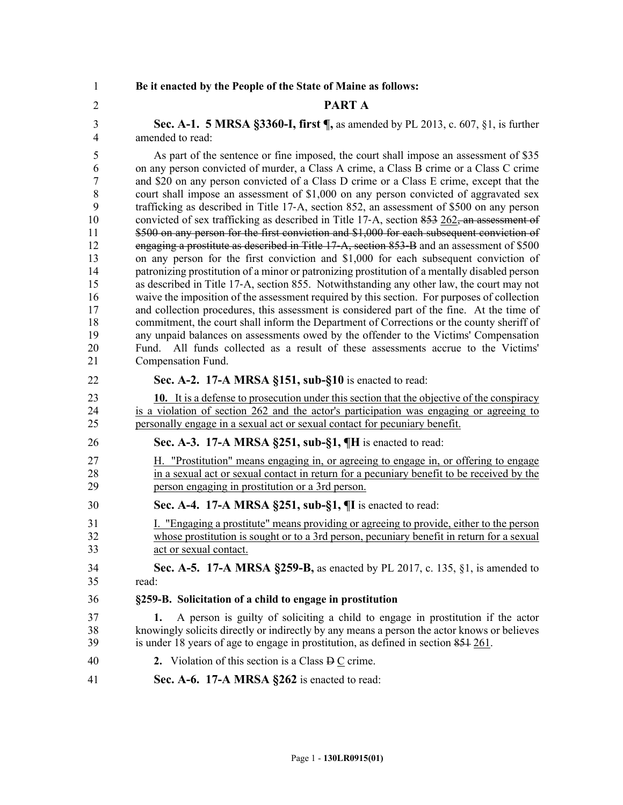#### 1 **Be it enacted by the People of the State of Maine as follows:**

#### 2 **PART A**

3 **Sec. A-1. 5 MRSA §3360-I, first ¶,** as amended by PL 2013, c. 607, §1, is further 4 amended to read:

5 As part of the sentence or fine imposed, the court shall impose an assessment of \$35 6 on any person convicted of murder, a Class A crime, a Class B crime or a Class C crime 7 and \$20 on any person convicted of a Class D crime or a Class E crime, except that the 8 court shall impose an assessment of \$1,000 on any person convicted of aggravated sex 9 trafficking as described in Title 17‑A, section 852, an assessment of \$500 on any person 10 convicted of sex trafficking as described in Title 17-A, section 853 262, an assessment of 11 \$500 on any person for the first conviction and \$1,000 for each subsequent conviction of 12 engaging a prostitute as described in Title 17‑A, section 853‑B and an assessment of \$500 13 on any person for the first conviction and \$1,000 for each subsequent conviction of 14 patronizing prostitution of a minor or patronizing prostitution of a mentally disabled person 15 as described in Title 17‑A, section 855. Notwithstanding any other law, the court may not 16 waive the imposition of the assessment required by this section. For purposes of collection 17 and collection procedures, this assessment is considered part of the fine. At the time of 18 commitment, the court shall inform the Department of Corrections or the county sheriff of 19 any unpaid balances on assessments owed by the offender to the Victims' Compensation 20 Fund. All funds collected as a result of these assessments accrue to the Victims' 21 Compensation Fund.

#### 22 **Sec. A-2. 17-A MRSA §151, sub-§10** is enacted to read:

23 **10.** It is a defense to prosecution under this section that the objective of the conspiracy 24 is a violation of section 262 and the actor's participation was engaging or agreeing to 25 personally engage in a sexual act or sexual contact for pecuniary benefit.

#### 26 **Sec. A-3. 17-A MRSA §251, sub-§1, ¶H** is enacted to read:

27 H. "Prostitution" means engaging in, or agreeing to engage in, or offering to engage 28 in a sexual act or sexual contact in return for a pecuniary benefit to be received by the 29 person engaging in prostitution or a 3rd person.

### 30 **Sec. A-4. 17-A MRSA §251, sub-§1, ¶I** is enacted to read:

- 31 I. "Engaging a prostitute" means providing or agreeing to provide, either to the person 32 whose prostitution is sought or to a 3rd person, pecuniary benefit in return for a sexual 33 act or sexual contact.
- 34 **Sec. A-5. 17-A MRSA §259-B,** as enacted by PL 2017, c. 135, §1, is amended to 35 read:

#### 36 **§259-B. Solicitation of a child to engage in prostitution**

- 37 **1.** A person is guilty of soliciting a child to engage in prostitution if the actor 38 knowingly solicits directly or indirectly by any means a person the actor knows or believes 39 is under 18 years of age to engage in prostitution, as defined in section 851 261.
- 40 **2.** Violation of this section is a Class  $\overline{P}$  C crime.
- 41 **Sec. A-6. 17-A MRSA §262** is enacted to read: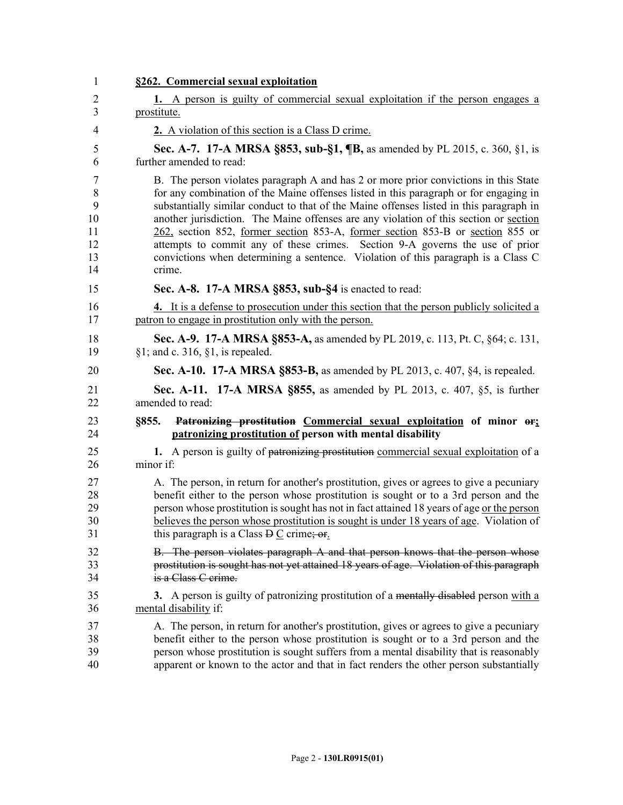| $\mathbf{1}$   | §262. Commercial sexual exploitation                                                                                                                                                  |
|----------------|---------------------------------------------------------------------------------------------------------------------------------------------------------------------------------------|
| $\overline{2}$ | 1. A person is guilty of commercial sexual exploitation if the person engages a                                                                                                       |
| 3              | prostitute.                                                                                                                                                                           |
| 4              | 2. A violation of this section is a Class D crime.                                                                                                                                    |
| 5              | <b>Sec. A-7. 17-A MRSA §853, sub-§1, ¶B, as amended by PL 2015, c. 360, §1, is</b>                                                                                                    |
| 6              | further amended to read:                                                                                                                                                              |
| 7              | B. The person violates paragraph A and has 2 or more prior convictions in this State                                                                                                  |
| 8<br>9         | for any combination of the Maine offenses listed in this paragraph or for engaging in<br>substantially similar conduct to that of the Maine offenses listed in this paragraph in      |
| 10             | another jurisdiction. The Maine offenses are any violation of this section or section                                                                                                 |
| 11             | 262, section 852, former section 853-A, former section 853-B or section 855 or                                                                                                        |
| 12             | attempts to commit any of these crimes. Section 9-A governs the use of prior                                                                                                          |
| 13<br>14       | convictions when determining a sentence. Violation of this paragraph is a Class C<br>crime.                                                                                           |
| 15             | Sec. A-8. 17-A MRSA §853, sub-§4 is enacted to read:                                                                                                                                  |
| 16<br>17       | 4. It is a defense to prosecution under this section that the person publicly solicited a<br>patron to engage in prostitution only with the person.                                   |
| 18             | Sec. A-9. 17-A MRSA §853-A, as amended by PL 2019, c. 113, Pt. C, §64; c. 131,                                                                                                        |
| 19             | $§1$ ; and c. 316, $§1$ , is repealed.                                                                                                                                                |
| 20             | <b>Sec. A-10. 17-A MRSA §853-B, as amended by PL 2013, c. 407, §4, is repealed.</b>                                                                                                   |
| 21<br>22       | <b>Sec. A-11. 17-A MRSA §855, as amended by PL 2013, c. 407, §5, is further</b><br>amended to read:                                                                                   |
| 23<br>24       | Patronizing prostitution Commercial sexual exploitation of minor or;<br>§855.<br>patronizing prostitution of person with mental disability                                            |
| 25<br>26       | 1. A person is guilty of patronizing prostitution commercial sexual exploitation of a<br>minor if:                                                                                    |
| 27             | A. The person, in return for another's prostitution, gives or agrees to give a pecuniary                                                                                              |
| 28             | benefit either to the person whose prostitution is sought or to a 3rd person and the                                                                                                  |
| 29<br>30       | person whose prostitution is sought has not in fact attained 18 years of age or the person<br>believes the person whose prostitution is sought is under 18 years of age. Violation of |
| 31             | this paragraph is a Class $D \subseteq$ crime; or                                                                                                                                     |
| 32             | B. The person violates paragraph A and that person knows that the person whose                                                                                                        |
| 33             | prostitution is sought has not yet attained 18 years of age. Violation of this paragraph                                                                                              |
|                |                                                                                                                                                                                       |
| 34             | is a Class C crime.                                                                                                                                                                   |
| 35<br>36       | 3. A person is guilty of patronizing prostitution of a mentally disabled person with a<br>mental disability if:                                                                       |
| 37             | A. The person, in return for another's prostitution, gives or agrees to give a pecuniary                                                                                              |
| 38<br>39       | benefit either to the person whose prostitution is sought or to a 3rd person and the<br>person whose prostitution is sought suffers from a mental disability that is reasonably       |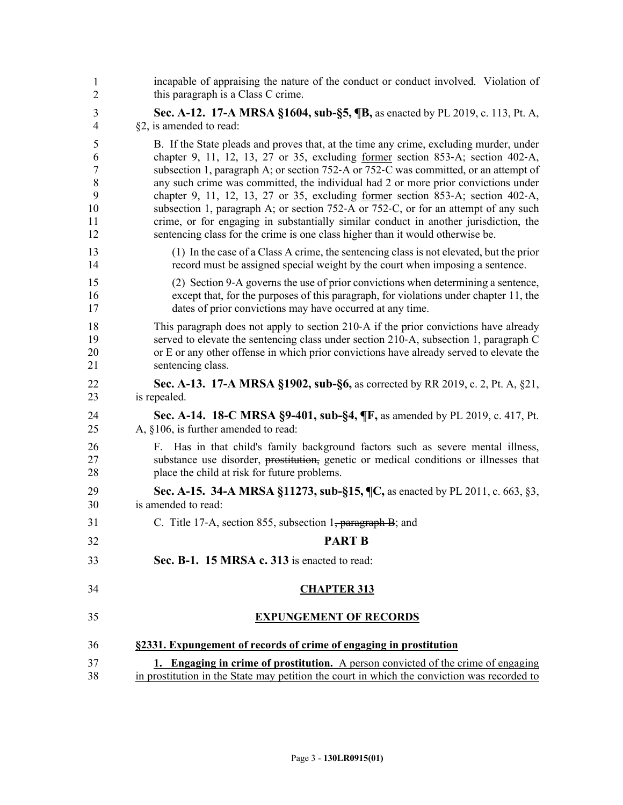| 1<br>$\overline{2}$      | incapable of appraising the nature of the conduct or conduct involved. Violation of<br>this paragraph is a Class C crime.                                                                                                                                                                     |
|--------------------------|-----------------------------------------------------------------------------------------------------------------------------------------------------------------------------------------------------------------------------------------------------------------------------------------------|
| 3                        | Sec. A-12. 17-A MRSA §1604, sub-§5, ¶B, as enacted by PL 2019, c. 113, Pt. A,                                                                                                                                                                                                                 |
| 4                        | §2, is amended to read:                                                                                                                                                                                                                                                                       |
| 5<br>6<br>$\overline{7}$ | B. If the State pleads and proves that, at the time any crime, excluding murder, under<br>chapter 9, 11, 12, 13, 27 or 35, excluding <u>former</u> section 853-A; section 402-A,<br>subsection 1, paragraph A; or section 752-A or 752-C was committed, or an attempt of                      |
| $\,8\,$                  | any such crime was committed, the individual had 2 or more prior convictions under                                                                                                                                                                                                            |
| 9                        | chapter 9, 11, 12, 13, 27 or 35, excluding former section $853-A$ ; section $402-A$ ,                                                                                                                                                                                                         |
| 10                       | subsection 1, paragraph A; or section 752-A or 752-C, or for an attempt of any such                                                                                                                                                                                                           |
| 11<br>12                 | crime, or for engaging in substantially similar conduct in another jurisdiction, the<br>sentencing class for the crime is one class higher than it would otherwise be.                                                                                                                        |
| 13<br>14                 | (1) In the case of a Class A crime, the sentencing class is not elevated, but the prior<br>record must be assigned special weight by the court when imposing a sentence.                                                                                                                      |
| 15<br>16<br>17           | (2) Section 9-A governs the use of prior convictions when determining a sentence,<br>except that, for the purposes of this paragraph, for violations under chapter 11, the<br>dates of prior convictions may have occurred at any time.                                                       |
| 18<br>19<br>20<br>21     | This paragraph does not apply to section 210-A if the prior convictions have already<br>served to elevate the sentencing class under section 210-A, subsection 1, paragraph C<br>or E or any other offense in which prior convictions have already served to elevate the<br>sentencing class. |
| 22<br>23                 | Sec. A-13. 17-A MRSA §1902, sub-§6, as corrected by RR 2019, c. 2, Pt. A, §21,<br>is repealed.                                                                                                                                                                                                |
| 24<br>25                 | <b>Sec. A-14. 18-C MRSA §9-401, sub-§4, ¶F, as amended by PL 2019, c. 417, Pt.</b><br>A, §106, is further amended to read:                                                                                                                                                                    |
| 26<br>27<br>28           | F. Has in that child's family background factors such as severe mental illness,<br>substance use disorder, prostitution, genetic or medical conditions or illnesses that<br>place the child at risk for future problems.                                                                      |
| 29<br>30                 | Sec. A-15. 34-A MRSA §11273, sub-§15, ¶C, as enacted by PL 2011, c. 663, §3,<br>is amended to read:                                                                                                                                                                                           |
| 31                       | C. Title 17-A, section 855, subsection 1 <del>, paragraph B</del> ; and                                                                                                                                                                                                                       |
| 32                       | <b>PART B</b>                                                                                                                                                                                                                                                                                 |
| 33                       | Sec. B-1. 15 MRSA c. 313 is enacted to read:                                                                                                                                                                                                                                                  |
| 34                       | <b>CHAPTER 313</b>                                                                                                                                                                                                                                                                            |
| 35                       | <b>EXPUNGEMENT OF RECORDS</b>                                                                                                                                                                                                                                                                 |
| 36                       | §2331. Expungement of records of crime of engaging in prostitution                                                                                                                                                                                                                            |
| 37                       | 1. Engaging in crime of prostitution. A person convicted of the crime of engaging                                                                                                                                                                                                             |
| 38                       | in prostitution in the State may petition the court in which the conviction was recorded to                                                                                                                                                                                                   |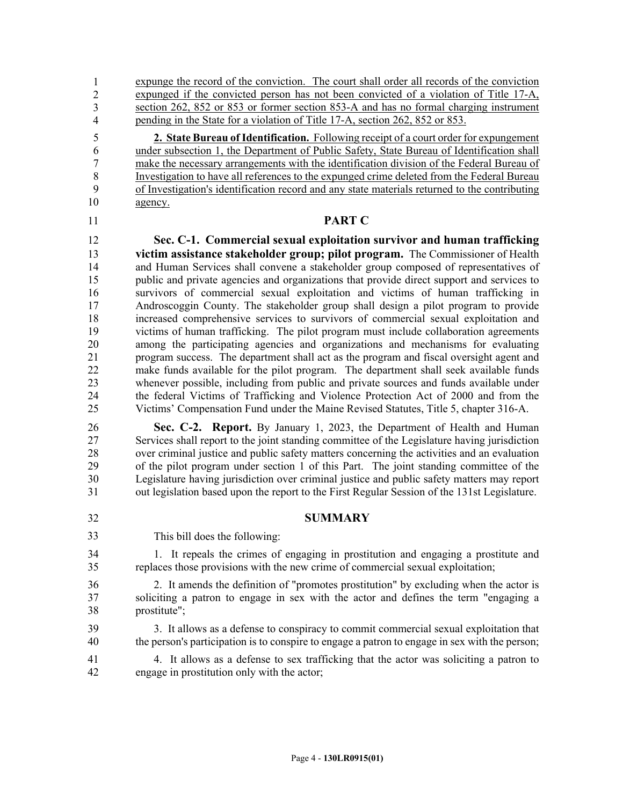expunge the record of the conviction. The court shall order all records of the conviction expunged if the convicted person has not been convicted of a violation of Title 17-A,  $\frac{1}{262}$ , 852 or 853 or former section 853-A and has no formal charging instrument pending in the State for a violation of Title 17-A, section 262, 852 or 853. 1 2 3 4

5 **2. State Bureau of Identification.** Following receipt of a court order for expungement 6 under subsection 1, the Department of Public Safety, State Bureau of Identification shall 7 make the necessary arrangements with the identification division of the Federal Bureau of 8 Investigation to have all references to the expunged crime deleted from the Federal Bureau 9 of Investigation's identification record and any state materials returned to the contributing 10 agency.

## 11 **PART C**

12 **Sec. C-1. Commercial sexual exploitation survivor and human trafficking**  13 **victim assistance stakeholder group; pilot program.** The Commissioner of Health 14 and Human Services shall convene a stakeholder group composed of representatives of 15 public and private agencies and organizations that provide direct support and services to 16 survivors of commercial sexual exploitation and victims of human trafficking in 17 Androscoggin County. The stakeholder group shall design a pilot program to provide 18 increased comprehensive services to survivors of commercial sexual exploitation and 19 victims of human trafficking. The pilot program must include collaboration agreements 20 among the participating agencies and organizations and mechanisms for evaluating 21 program success. The department shall act as the program and fiscal oversight agent and<br>22 make funds available for the pilot program. The department shall seek available funds make funds available for the pilot program. The department shall seek available funds 23 whenever possible, including from public and private sources and funds available under 24 the federal Victims of Trafficking and Violence Protection Act of 2000 and from the 25 Victims' Compensation Fund under the Maine Revised Statutes, Title 5, chapter 316-A.

26 **Sec. C-2. Report.** By January 1, 2023, the Department of Health and Human 27 Services shall report to the joint standing committee of the Legislature having jurisdiction 28 over criminal justice and public safety matters concerning the activities and an evaluation 29 of the pilot program under section 1 of this Part. The joint standing committee of the 30 Legislature having jurisdiction over criminal justice and public safety matters may report 31 out legislation based upon the report to the First Regular Session of the 131st Legislature.

- 32 **SUMMARY**
- 33

This bill does the following:

34 1. It repeals the crimes of engaging in prostitution and engaging a prostitute and 35 replaces those provisions with the new crime of commercial sexual exploitation;

36 2. It amends the definition of "promotes prostitution" by excluding when the actor is 37 soliciting a patron to engage in sex with the actor and defines the term "engaging a 38 prostitute";

39 3. It allows as a defense to conspiracy to commit commercial sexual exploitation that 40 the person's participation is to conspire to engage a patron to engage in sex with the person;

41 4. It allows as a defense to sex trafficking that the actor was soliciting a patron to 42 engage in prostitution only with the actor;